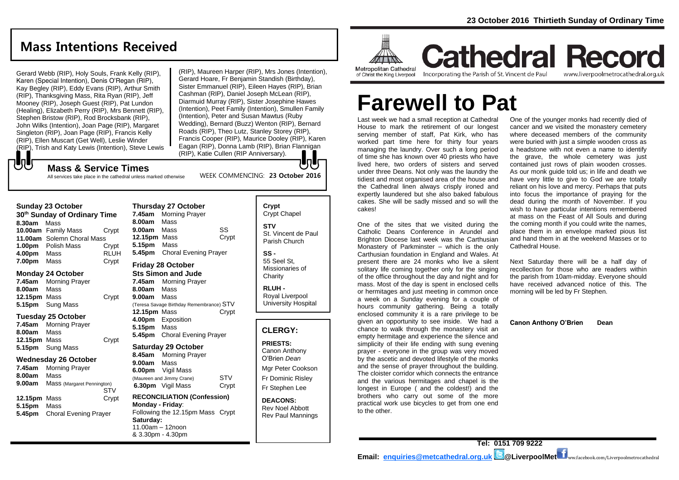# **Mass Intentions Received**

Gerard Webb (RIP), Holy Souls, Frank Kelly (RIP), Karen (Special Intention), Denis O'Regan (RIP), Kay Begley (RIP), Eddy Evans (RIP), Arthur Smith (RIP), Thanksgiving Mass, Rita Ryan (RIP), Jeff Mooney (RIP), Joseph Guest (RIP), Pat Lundon (Healing), Elizabeth Perry (RIP), Mrs Bennett (RIP), Stephen Bristow (RIP), Rod Brocksbank (RIP), John Wilks (Intention), Joan Page (RIP), Margaret Singleton (RIP), Joan Page (RIP), Francis Kelly (RIP), Ellen Muscart (Get Well), Leslie Winder (RIP), Trish and Katy Lewis (Intention), Steve Lewis

(RIP), Maureen Harper (RIP), Mrs Jones (Intention), Gerard Hoare, Fr Benjamin Standish (Birthday), Sister Emmanuel (RIP), Eileen Hayes (RIP), Brian Cashman (RIP), Daniel Joseph McLean (RIP), Diarmuid Murray (RIP), Sister Josephine Hawes (Intention), Peet Family (Intention), Smullen Family (Intention), Peter and Susan Mawtus (Ruby Wedding), Bernard (Buzz) Wenton (RIP), Bernard Roads (RIP), Theo Lutz, Stanley Storey (RIP), Francis Cooper (RIP), Maurice Dooley (RIP), Karen Eagan (RIP), Donna Lamb (RIP), Brian Flannigan (RIP), Katie Cullen (RIP Anniversary).

WEEK COMMENCING: **23 October 2016**

## **Mass & Service Times**

All services take place in the cathedral unless marked otherwise

#### **Sunday 23 October**

でし

| 30 <sup>th</sup> Sunday of Ordinary Time |                            |             |  |  |
|------------------------------------------|----------------------------|-------------|--|--|
| 8.30am                                   | Mass                       |             |  |  |
|                                          | 10.00am Family Mass        | Crvpt       |  |  |
|                                          | 11.00am Solemn Choral Mass |             |  |  |
|                                          | <b>1.00pm</b> Polish Mass  | Crypt       |  |  |
| 4.00pm                                   | Mass                       | <b>RLUH</b> |  |  |
| 7.00pm                                   | Mass                       | Crypt       |  |  |

#### **Monday 24 October**

| 7.45am       | <b>Morning Prayer</b>   |       |
|--------------|-------------------------|-------|
| 8.00am Mass  |                         |       |
| 12.15pm Mass |                         | Crypt |
|              | <b>5.15pm</b> Sung Mass |       |

#### **Tuesday 25 October**

| 7.45am       | <b>Morning Prayer</b>   |       |
|--------------|-------------------------|-------|
| 8.00am       | Mass                    |       |
| 12.15pm Mass |                         | Crypt |
|              | <b>5.15pm</b> Sung Mass |       |
|              |                         |       |

#### **Wednesday 26 October**

| 7.45am       | <b>Morning Prayer</b>        |       |
|--------------|------------------------------|-------|
| 8.00am       | Mass                         |       |
| 9.00am       | Mass (Margaret Pennington)   |       |
|              |                              | STV   |
| 12.15pm Mass |                              | Crypt |
| 5.15pm       | Mass                         |       |
| 5.45pm       | <b>Choral Evening Prayer</b> |       |

| 8.00am                                   | Mass                         |       |  |  |
|------------------------------------------|------------------------------|-------|--|--|
| 9.00am Mass                              |                              | SS    |  |  |
| <b>12.15pm</b> Mass                      |                              | Crypt |  |  |
| 5.15pm Mass                              |                              |       |  |  |
| 5.45pm                                   | <b>Choral Evening Prayer</b> |       |  |  |
|                                          | Friday 28 October            |       |  |  |
| <b>Sts Simon and Jude</b>                |                              |       |  |  |
|                                          | <b>7.45am</b> Morning Prayer |       |  |  |
| 8.00am                                   | Mass                         |       |  |  |
| 9.00am Mass                              |                              |       |  |  |
| (Teresa Savage Birthday Remembrance) STV |                              |       |  |  |
| <b>12.15pm</b> Mass                      |                              | Crypt |  |  |
|                                          | 4.00pm Exposition            |       |  |  |
| 5.15pm Mass                              |                              |       |  |  |
|                                          | 5.45pm Choral Evening Prayer |       |  |  |
| <b>Saturday 29 October</b>               |                              |       |  |  |
| 8.45am                                   | <b>Morning Prayer</b>        |       |  |  |
| 9.00am                                   | Mass                         |       |  |  |
|                                          | 6.00pm Vigil Mass            |       |  |  |
|                                          | (Maureen and Jimmy Crane)    | STV   |  |  |
| 6.30pm                                   | Vigil Mass                   | Crvpt |  |  |

**Thursday 27 October 7.45am** Morning Prayer

#### **RECONCILIATION (Confession) Monday - Friday**: Following the 12.15pm Mass Crypt **Saturday:** 11.00am – 12noon & 3.30pm - 4.30pm

## **Crypt**  Crypt Chapel **STV** St. Vincent de Paul Parish Church

**SS -** 55 Seel St, Missionaries of **Charity** 

**RLUH -** Royal Liverpool University Hospital

### **CLERGY:**

**PRIESTS:** Canon Anthony O'Brien *Dean*

Mgr Peter Cookson Fr Dominic Risley Fr Stephen Lee

**DEACONS:** Rev Noel Abbott Rev Paul Mannings



**Cathedral Record** Incorporating the Parish of St. Vincent de Paul www.liverpoolmetrocathedral.org.uk

# **Farewell to Pat**

Last week we had a small reception at Cathedral House to mark the retirement of our longest serving member of staff, Pat Kirk, who has worked part time here for thirty four years managing the laundry. Over such a long period of time she has known over 40 priests who have lived here, two orders of sisters and served under three Deans. Not only was the laundry the tidiest and most organised area of the house and the Cathedral linen always crisply ironed and expertly laundered but she also baked fabulous cakes. She will be sadly missed and so will the cakes!

One of the sites that we visited during the Catholic Deans Conference in Arundel and Brighton Diocese last week was the Carthusian Monastery of Parkminster – which is the only Carthusian foundation in England and Wales. At present there are 24 monks who live a silent solitary life coming together only for the singing of the office throughout the day and night and for mass. Most of the day is spent in enclosed cells or hermitages and just meeting in common once a week on a Sunday evening for a couple of hours community gathering. Being a totally enclosed community it is a rare privilege to be given an opportunity to see inside. We had a chance to walk through the monastery visit an empty hermitage and experience the silence and simplicity of their life ending with sung evening prayer - everyone in the group was very moved by the ascetic and devoted lifestyle of the monks and the sense of prayer throughout the building. The cloister corridor which connects the entrance and the various hermitages and chapel is the longest in Europe ( and the coldest!) and the brothers who carry out some of the more practical work use bicycles to get from one end to the other.

One of the younger monks had recently died of cancer and we visited the monastery cemetery where deceased members of the community were buried with just a simple wooden cross as a headstone with not even a name to identify the grave, the whole cemetery was just contained just rows of plain wooden crosses. As our monk guide told us; in life and death we have very little to give to God we are totally reliant on his love and mercy. Perhaps that puts into focus the importance of praying for the dead during the month of November. If you wish to have particular intentions remembered at mass on the Feast of All Souls and during the coming month if you could write the names, place them in an envelope marked pious list and hand them in at the weekend Masses or to Cathedral House.

Next Saturday there will be a half day of recollection for those who are readers within the parish from 10am-midday. Everyone should have received advanced notice of this. The morning will be led by Fr Stephen.

**Canon Anthony O'Brien Dean**